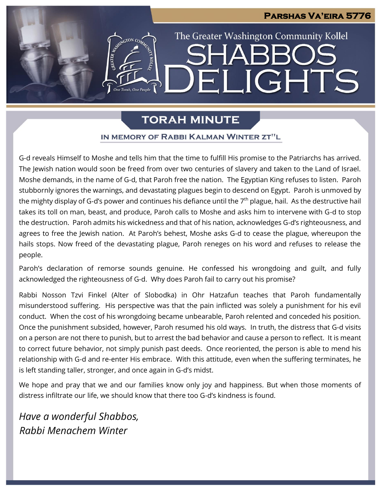# **Parshas Va'eira 5776** The Greater Washington Community Kollel LIGHTS FI

# **TORAH MINUTE**

### IN MEMORY OF RABBI KALMAN WINTER ZT"L

G-d reveals Himself to Moshe and tells him that the time to fulfill His promise to the Patriarchs has arrived. The Jewish nation would soon be freed from over two centuries of slavery and taken to the Land of Israel. Moshe demands, in the name of G-d, that Paroh free the nation. The Egyptian King refuses to listen. Paroh stubbornly ignores the warnings, and devastating plagues begin to descend on Egypt. Paroh is unmoved by the mighty display of G-d's power and continues his defiance until the  $7<sup>th</sup>$  plague, hail. As the destructive hail takes its toll on man, beast, and produce, Paroh calls to Moshe and asks him to intervene with G-d to stop the destruction. Paroh admits his wickedness and that of his nation, acknowledges G-d's righteousness, and agrees to free the Jewish nation. At Paroh's behest, Moshe asks G-d to cease the plague, whereupon the hails stops. Now freed of the devastating plague, Paroh reneges on his word and refuses to release the people.

Paroh's declaration of remorse sounds genuine. He confessed his wrongdoing and guilt, and fully acknowledged the righteousness of G-d. Why does Paroh fail to carry out his promise?

Rabbi Nosson Tzvi Finkel (Alter of Slobodka) in Ohr Hatzafun teaches that Paroh fundamentally misunderstood suffering. His perspective was that the pain inflicted was solely a punishment for his evil conduct. When the cost of his wrongdoing became unbearable, Paroh relented and conceded his position. Once the punishment subsided, however, Paroh resumed his old ways. In truth, the distress that G-d visits on a person are not there to punish, but to arrest the bad behavior and cause a person to reflect. It is meant to correct future behavior, not simply punish past deeds. Once reoriented, the person is able to mend his relationship with G-d and re-enter His embrace. With this attitude, even when the suffering terminates, he is left standing taller, stronger, and once again in G-d's midst.

We hope and pray that we and our families know only joy and happiness. But when those moments of distress infiltrate our life, we should know that there too G-d's kindness is found.

*Have a wonderful Shabbos, Rabbi Menachem Winter*